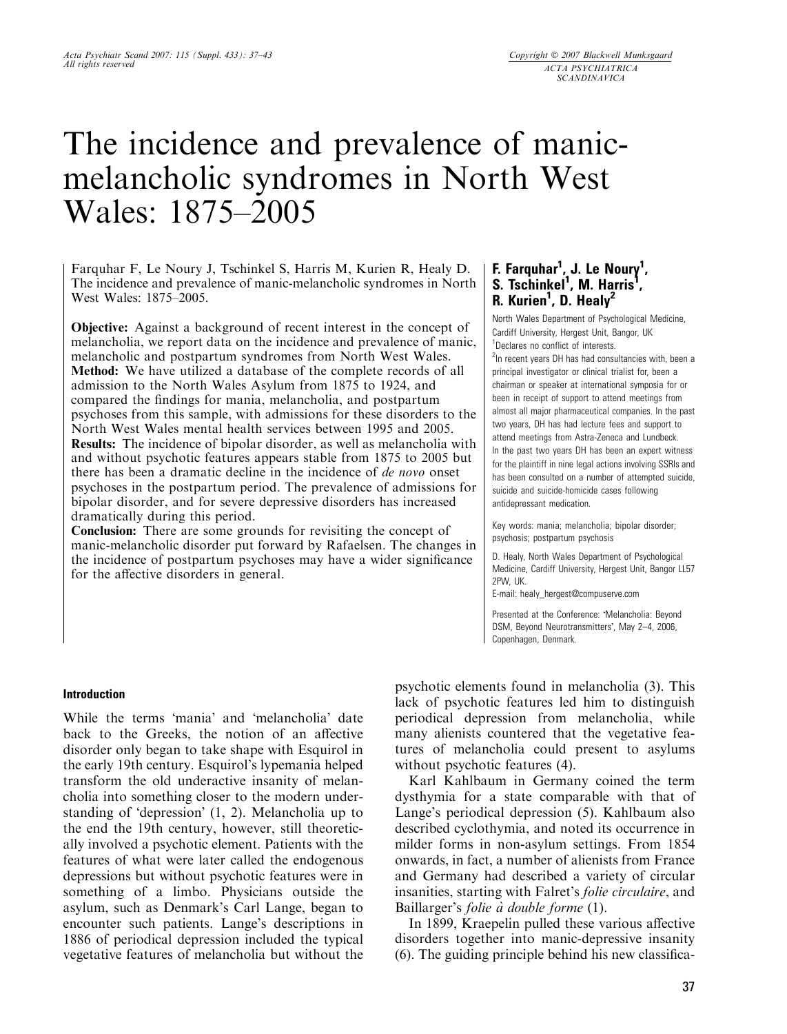# The incidence and prevalence of manicmelancholic syndromes in North West Wales: 1875–2005

Farquhar F, Le Noury J, Tschinkel S, Harris M, Kurien R, Healy D. The incidence and prevalence of manic-melancholic syndromes in North West Wales: 1875–2005.

Objective: Against a background of recent interest in the concept of melancholia, we report data on the incidence and prevalence of manic, melancholic and postpartum syndromes from North West Wales. Method: We have utilized a database of the complete records of all admission to the North Wales Asylum from 1875 to 1924, and compared the findings for mania, melancholia, and postpartum psychoses from this sample, with admissions for these disorders to the North West Wales mental health services between 1995 and 2005. Results: The incidence of bipolar disorder, as well as melancholia with and without psychotic features appears stable from 1875 to 2005 but there has been a dramatic decline in the incidence of de novo onset psychoses in the postpartum period. The prevalence of admissions for bipolar disorder, and for severe depressive disorders has increased dramatically during this period.

Conclusion: There are some grounds for revisiting the concept of manic-melancholic disorder put forward by Rafaelsen. The changes in the incidence of postpartum psychoses may have a wider significance for the affective disorders in general.

# F. Farquhar<sup>1</sup>, J. Le Noury<sup>1</sup>, S. Tschinkel<sup>1</sup>, M. Harris<sup>1</sup>, R. Kurien<sup>1</sup>, D. Healy<sup>2</sup>

North Wales Department of Psychological Medicine, Cardiff University, Hergest Unit, Bangor, UK 1 Declares no conflict of interests.

<sup>2</sup>In recent years DH has had consultancies with, been a principal investigator or clinical trialist for, been a chairman or speaker at international symposia for or been in receipt of support to attend meetings from almost all major pharmaceutical companies. In the past two years, DH has had lecture fees and support to attend meetings from Astra-Zeneca and Lundbeck. In the past two years DH has been an expert witness for the plaintiff in nine legal actions involving SSRIs and has been consulted on a number of attempted suicide, suicide and suicide-homicide cases following antidepressant medication.

Key words: mania; melancholia; bipolar disorder; psychosis; postpartum psychosis

D. Healy, North Wales Department of Psychological Medicine, Cardiff University, Hergest Unit, Bangor LL57 2PW, UK.

E-mail: healy\_hergest@compuserve.com

Presented at the Conference: 'Melancholia: Beyond DSM, Beyond Neurotransmitters', May 2-4, 2006, Copenhagen, Denmark.

psychotic elements found in melancholia (3). This lack of psychotic features led him to distinguish periodical depression from melancholia, while many alienists countered that the vegetative features of melancholia could present to asylums without psychotic features (4).

Karl Kahlbaum in Germany coined the term dysthymia for a state comparable with that of Lange's periodical depression (5). Kahlbaum also described cyclothymia, and noted its occurrence in milder forms in non-asylum settings. From 1854 onwards, in fact, a number of alienists from France and Germany had described a variety of circular insanities, starting with Falret's folie circulaire, and Baillarger's folie à double forme (1).

In 1899, Kraepelin pulled these various affective disorders together into manic-depressive insanity (6). The guiding principle behind his new classifica-

## Introduction

While the terms 'mania' and 'melancholia' date back to the Greeks, the notion of an affective disorder only began to take shape with Esquirol in the early 19th century. Esquirol's lypemania helped transform the old underactive insanity of melancholia into something closer to the modern understanding of 'depression' (1, 2). Melancholia up to the end the 19th century, however, still theoretically involved a psychotic element. Patients with the features of what were later called the endogenous depressions but without psychotic features were in something of a limbo. Physicians outside the asylum, such as Denmark's Carl Lange, began to encounter such patients. Lange's descriptions in 1886 of periodical depression included the typical vegetative features of melancholia but without the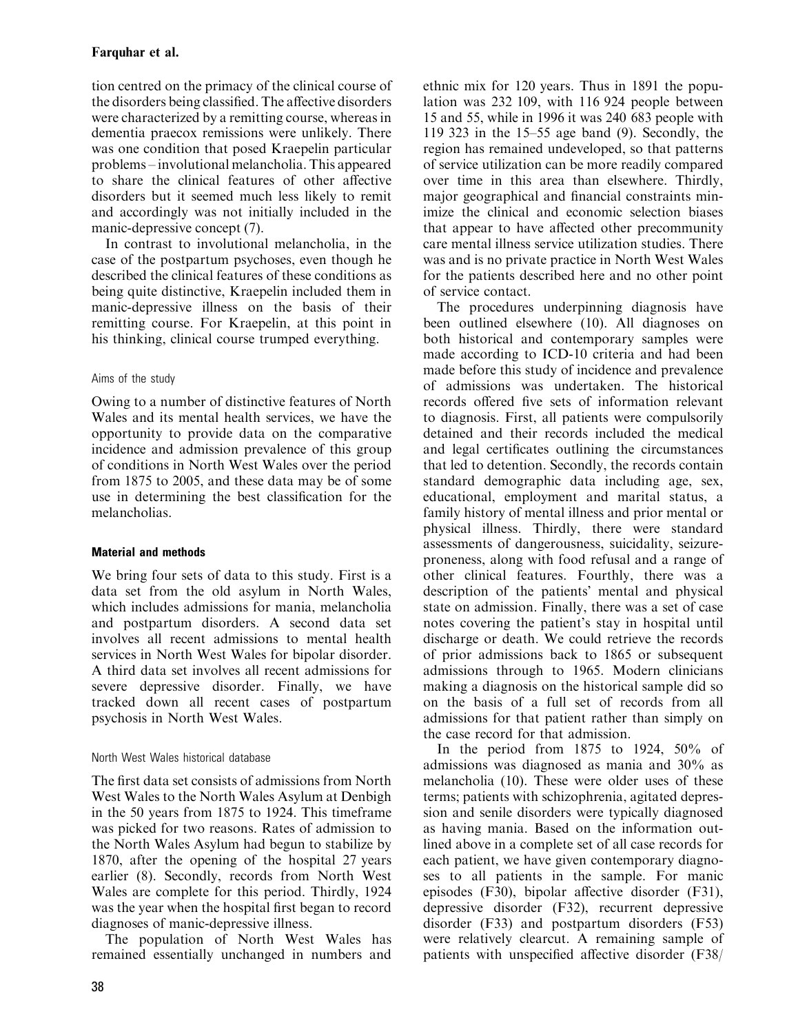## Farquhar et al.

tion centred on the primacy of the clinical course of the disorders being classified. The affective disorders were characterized by a remitting course, whereas in dementia praecox remissions were unlikely. There was one condition that posed Kraepelin particular problems – involutional melancholia. This appeared to share the clinical features of other affective disorders but it seemed much less likely to remit and accordingly was not initially included in the manic-depressive concept (7).

In contrast to involutional melancholia, in the case of the postpartum psychoses, even though he described the clinical features of these conditions as being quite distinctive, Kraepelin included them in manic-depressive illness on the basis of their remitting course. For Kraepelin, at this point in his thinking, clinical course trumped everything.

## Aims of the study

Owing to a number of distinctive features of North Wales and its mental health services, we have the opportunity to provide data on the comparative incidence and admission prevalence of this group of conditions in North West Wales over the period from 1875 to 2005, and these data may be of some use in determining the best classification for the melancholias.

## Material and methods

We bring four sets of data to this study. First is a data set from the old asylum in North Wales, which includes admissions for mania, melancholia and postpartum disorders. A second data set involves all recent admissions to mental health services in North West Wales for bipolar disorder. A third data set involves all recent admissions for severe depressive disorder. Finally, we have tracked down all recent cases of postpartum psychosis in North West Wales.

# North West Wales historical database

The first data set consists of admissions from North West Wales to the North Wales Asylum at Denbigh in the 50 years from 1875 to 1924. This timeframe was picked for two reasons. Rates of admission to the North Wales Asylum had begun to stabilize by 1870, after the opening of the hospital 27 years earlier (8). Secondly, records from North West Wales are complete for this period. Thirdly, 1924 was the year when the hospital first began to record diagnoses of manic-depressive illness.

The population of North West Wales has remained essentially unchanged in numbers and ethnic mix for 120 years. Thus in 1891 the population was 232 109, with 116 924 people between 15 and 55, while in 1996 it was 240 683 people with 119 323 in the 15–55 age band (9). Secondly, the region has remained undeveloped, so that patterns of service utilization can be more readily compared over time in this area than elsewhere. Thirdly, major geographical and financial constraints minimize the clinical and economic selection biases that appear to have affected other precommunity care mental illness service utilization studies. There was and is no private practice in North West Wales for the patients described here and no other point of service contact.

The procedures underpinning diagnosis have been outlined elsewhere (10). All diagnoses on both historical and contemporary samples were made according to ICD-10 criteria and had been made before this study of incidence and prevalence of admissions was undertaken. The historical records offered five sets of information relevant to diagnosis. First, all patients were compulsorily detained and their records included the medical and legal certificates outlining the circumstances that led to detention. Secondly, the records contain standard demographic data including age, sex, educational, employment and marital status, a family history of mental illness and prior mental or physical illness. Thirdly, there were standard assessments of dangerousness, suicidality, seizureproneness, along with food refusal and a range of other clinical features. Fourthly, there was a description of the patients' mental and physical state on admission. Finally, there was a set of case notes covering the patient's stay in hospital until discharge or death. We could retrieve the records of prior admissions back to 1865 or subsequent admissions through to 1965. Modern clinicians making a diagnosis on the historical sample did so on the basis of a full set of records from all admissions for that patient rather than simply on the case record for that admission.

In the period from 1875 to 1924, 50% of admissions was diagnosed as mania and 30% as melancholia (10). These were older uses of these terms; patients with schizophrenia, agitated depression and senile disorders were typically diagnosed as having mania. Based on the information outlined above in a complete set of all case records for each patient, we have given contemporary diagnoses to all patients in the sample. For manic episodes (F30), bipolar affective disorder (F31), depressive disorder (F32), recurrent depressive disorder (F33) and postpartum disorders (F53) were relatively clearcut. A remaining sample of patients with unspecified affective disorder (F38/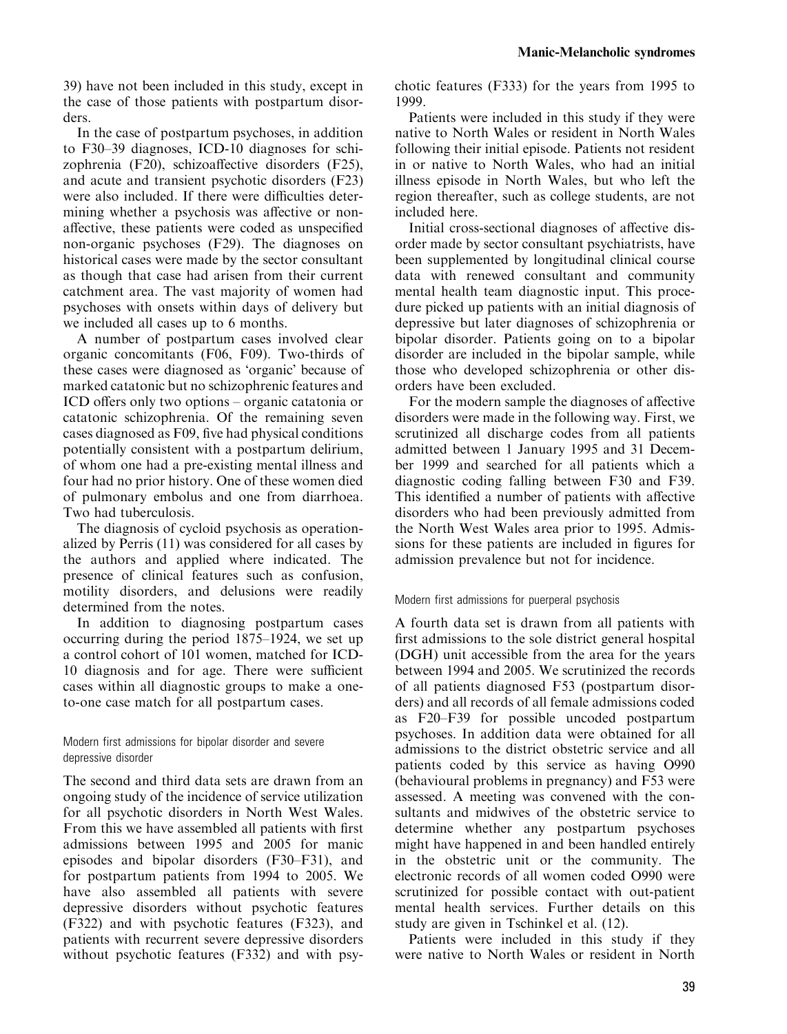39) have not been included in this study, except in the case of those patients with postpartum disorders.

In the case of postpartum psychoses, in addition to F30–39 diagnoses, ICD-10 diagnoses for schizophrenia (F20), schizoaffective disorders (F25), and acute and transient psychotic disorders (F23) were also included. If there were difficulties determining whether a psychosis was affective or nonaffective, these patients were coded as unspecified non-organic psychoses (F29). The diagnoses on historical cases were made by the sector consultant as though that case had arisen from their current catchment area. The vast majority of women had psychoses with onsets within days of delivery but we included all cases up to 6 months.

A number of postpartum cases involved clear organic concomitants (F06, F09). Two-thirds of these cases were diagnosed as 'organic' because of marked catatonic but no schizophrenic features and ICD offers only two options – organic catatonia or catatonic schizophrenia. Of the remaining seven cases diagnosed as F09, five had physical conditions potentially consistent with a postpartum delirium, of whom one had a pre-existing mental illness and four had no prior history. One of these women died of pulmonary embolus and one from diarrhoea. Two had tuberculosis.

The diagnosis of cycloid psychosis as operationalized by Perris (11) was considered for all cases by the authors and applied where indicated. The presence of clinical features such as confusion, motility disorders, and delusions were readily determined from the notes.

In addition to diagnosing postpartum cases occurring during the period 1875–1924, we set up a control cohort of 101 women, matched for ICD-10 diagnosis and for age. There were sufficient cases within all diagnostic groups to make a oneto-one case match for all postpartum cases.

## Modern first admissions for bipolar disorder and severe depressive disorder

The second and third data sets are drawn from an ongoing study of the incidence of service utilization for all psychotic disorders in North West Wales. From this we have assembled all patients with first admissions between 1995 and 2005 for manic episodes and bipolar disorders (F30–F31), and for postpartum patients from 1994 to 2005. We have also assembled all patients with severe depressive disorders without psychotic features (F322) and with psychotic features (F323), and patients with recurrent severe depressive disorders without psychotic features (F332) and with psychotic features (F333) for the years from 1995 to 1999.

Patients were included in this study if they were native to North Wales or resident in North Wales following their initial episode. Patients not resident in or native to North Wales, who had an initial illness episode in North Wales, but who left the region thereafter, such as college students, are not included here.

Initial cross-sectional diagnoses of affective disorder made by sector consultant psychiatrists, have been supplemented by longitudinal clinical course data with renewed consultant and community mental health team diagnostic input. This procedure picked up patients with an initial diagnosis of depressive but later diagnoses of schizophrenia or bipolar disorder. Patients going on to a bipolar disorder are included in the bipolar sample, while those who developed schizophrenia or other disorders have been excluded.

For the modern sample the diagnoses of affective disorders were made in the following way. First, we scrutinized all discharge codes from all patients admitted between 1 January 1995 and 31 December 1999 and searched for all patients which a diagnostic coding falling between F30 and F39. This identified a number of patients with affective disorders who had been previously admitted from the North West Wales area prior to 1995. Admissions for these patients are included in figures for admission prevalence but not for incidence.

#### Modern first admissions for puerperal psychosis

A fourth data set is drawn from all patients with first admissions to the sole district general hospital (DGH) unit accessible from the area for the years between 1994 and 2005. We scrutinized the records of all patients diagnosed F53 (postpartum disorders) and all records of all female admissions coded as F20–F39 for possible uncoded postpartum psychoses. In addition data were obtained for all admissions to the district obstetric service and all patients coded by this service as having O990 (behavioural problems in pregnancy) and F53 were assessed. A meeting was convened with the consultants and midwives of the obstetric service to determine whether any postpartum psychoses might have happened in and been handled entirely in the obstetric unit or the community. The electronic records of all women coded O990 were scrutinized for possible contact with out-patient mental health services. Further details on this study are given in Tschinkel et al. (12).

Patients were included in this study if they were native to North Wales or resident in North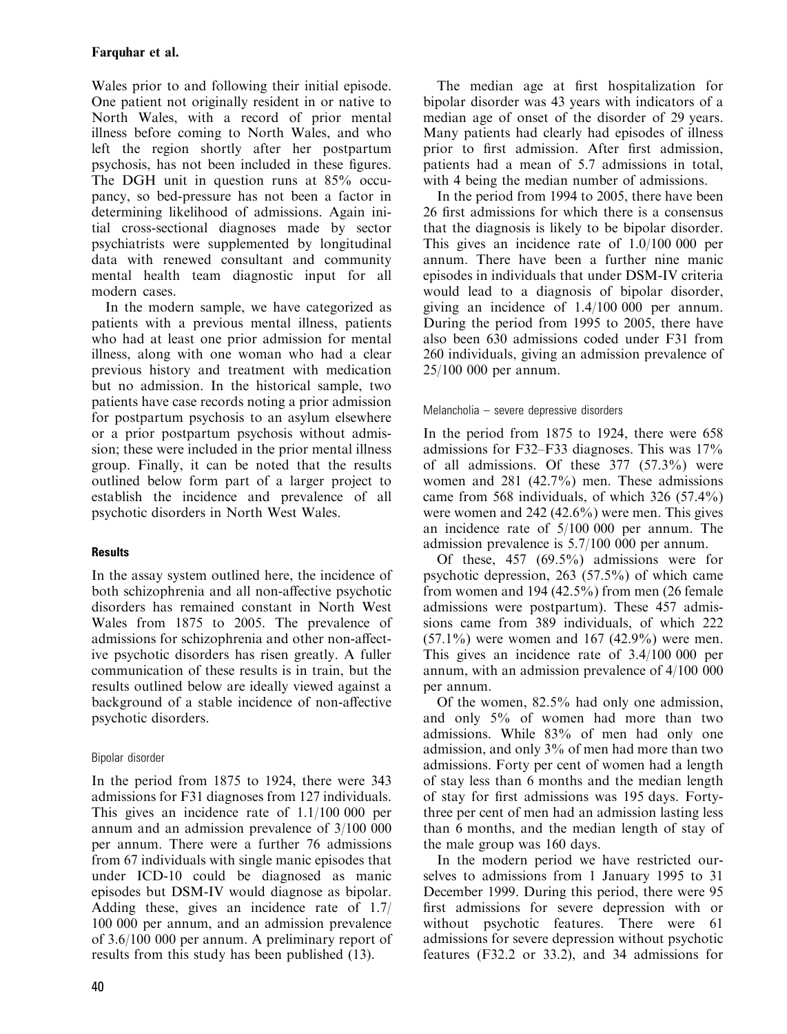Wales prior to and following their initial episode. One patient not originally resident in or native to North Wales, with a record of prior mental illness before coming to North Wales, and who left the region shortly after her postpartum psychosis, has not been included in these figures. The DGH unit in question runs at 85% occupancy, so bed-pressure has not been a factor in determining likelihood of admissions. Again initial cross-sectional diagnoses made by sector psychiatrists were supplemented by longitudinal data with renewed consultant and community mental health team diagnostic input for all modern cases.

In the modern sample, we have categorized as patients with a previous mental illness, patients who had at least one prior admission for mental illness, along with one woman who had a clear previous history and treatment with medication but no admission. In the historical sample, two patients have case records noting a prior admission for postpartum psychosis to an asylum elsewhere or a prior postpartum psychosis without admission; these were included in the prior mental illness group. Finally, it can be noted that the results outlined below form part of a larger project to establish the incidence and prevalence of all psychotic disorders in North West Wales.

# **Results**

In the assay system outlined here, the incidence of both schizophrenia and all non-affective psychotic disorders has remained constant in North West Wales from 1875 to 2005. The prevalence of admissions for schizophrenia and other non-affective psychotic disorders has risen greatly. A fuller communication of these results is in train, but the results outlined below are ideally viewed against a background of a stable incidence of non-affective psychotic disorders.

# Bipolar disorder

In the period from 1875 to 1924, there were 343 admissions for F31 diagnoses from 127 individuals. This gives an incidence rate of 1.1/100 000 per annum and an admission prevalence of 3/100 000 per annum. There were a further 76 admissions from 67 individuals with single manic episodes that under ICD-10 could be diagnosed as manic episodes but DSM-IV would diagnose as bipolar. Adding these, gives an incidence rate of 1.7/ 100 000 per annum, and an admission prevalence of 3.6/100 000 per annum. A preliminary report of results from this study has been published (13).

40

The median age at first hospitalization for bipolar disorder was 43 years with indicators of a median age of onset of the disorder of 29 years. Many patients had clearly had episodes of illness prior to first admission. After first admission, patients had a mean of 5.7 admissions in total, with 4 being the median number of admissions.

In the period from 1994 to 2005, there have been 26 first admissions for which there is a consensus that the diagnosis is likely to be bipolar disorder. This gives an incidence rate of 1.0/100 000 per annum. There have been a further nine manic episodes in individuals that under DSM-IV criteria would lead to a diagnosis of bipolar disorder, giving an incidence of 1.4/100 000 per annum. During the period from 1995 to 2005, there have also been 630 admissions coded under F31 from 260 individuals, giving an admission prevalence of 25/100 000 per annum.

## Melancholia – severe depressive disorders

In the period from 1875 to 1924, there were 658 admissions for F32–F33 diagnoses. This was 17% of all admissions. Of these 377 (57.3%) were women and 281 (42.7%) men. These admissions came from 568 individuals, of which 326 (57.4%) were women and 242 (42.6%) were men. This gives an incidence rate of 5/100 000 per annum. The admission prevalence is 5.7/100 000 per annum.

Of these, 457 (69.5%) admissions were for psychotic depression, 263 (57.5%) of which came from women and 194 (42.5%) from men (26 female admissions were postpartum). These 457 admissions came from 389 individuals, of which 222  $(57.1\%)$  were women and 167 (42.9%) were men. This gives an incidence rate of 3.4/100 000 per annum, with an admission prevalence of 4/100 000 per annum.

Of the women, 82.5% had only one admission, and only 5% of women had more than two admissions. While 83% of men had only one admission, and only 3% of men had more than two admissions. Forty per cent of women had a length of stay less than 6 months and the median length of stay for first admissions was 195 days. Fortythree per cent of men had an admission lasting less than 6 months, and the median length of stay of the male group was 160 days.

In the modern period we have restricted ourselves to admissions from 1 January 1995 to 31 December 1999. During this period, there were 95 first admissions for severe depression with or without psychotic features. There were 61 admissions for severe depression without psychotic features (F32.2 or 33.2), and 34 admissions for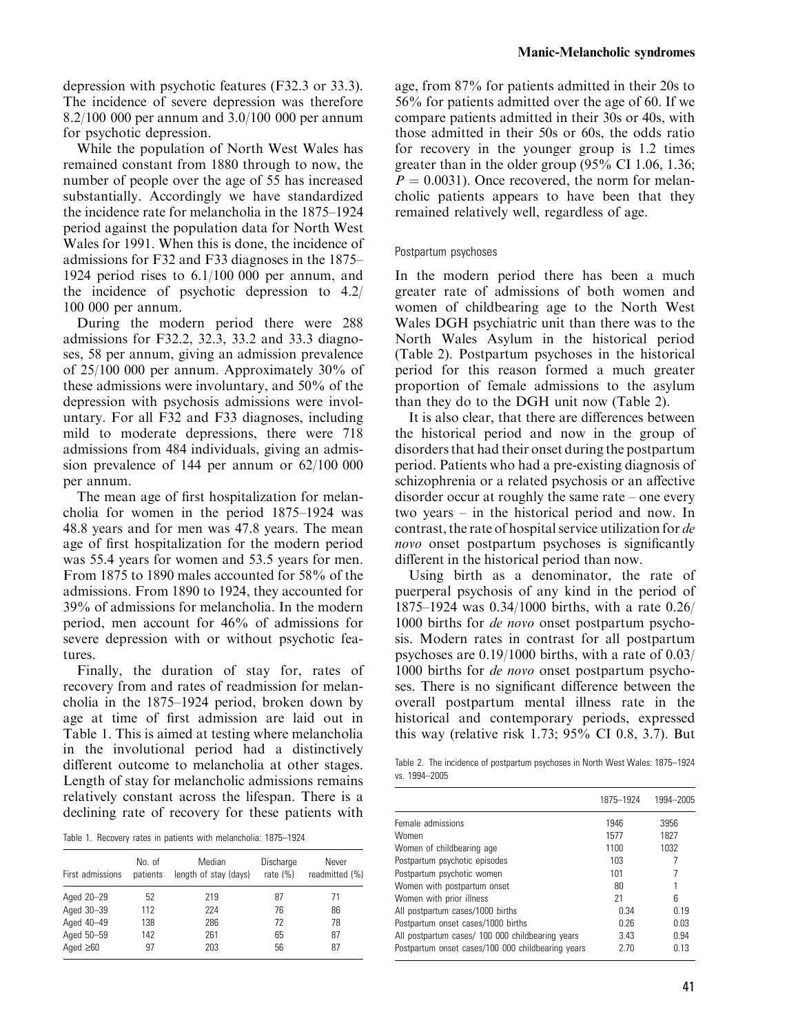depression with psychotic features (F32.3 or 33.3). The incidence of severe depression was therefore 8.2/100 000 per annum and 3.0/100 000 per annum for psychotic depression.

While the population of North West Wales has remained constant from 1880 through to now, the number of people over the age of 55 has increased substantially. Accordingly we have standardized the incidence rate for melancholia in the 1875–1924 period against the population data for North West Wales for 1991. When this is done, the incidence of admissions for F32 and F33 diagnoses in the 1875– 1924 period rises to 6.1/100 000 per annum, and the incidence of psychotic depression to 4.2/ 100 000 per annum.

During the modern period there were 288 admissions for F32.2, 32.3, 33.2 and 33.3 diagnoses, 58 per annum, giving an admission prevalence of 25/100 000 per annum. Approximately 30% of these admissions were involuntary, and 50% of the depression with psychosis admissions were involuntary. For all F32 and F33 diagnoses, including mild to moderate depressions, there were 718 admissions from 484 individuals, giving an admission prevalence of 144 per annum or 62/100 000 per annum.

The mean age of first hospitalization for melancholia for women in the period 1875–1924 was 48.8 years and for men was 47.8 years. The mean age of first hospitalization for the modern period was 55.4 years for women and 53.5 years for men. From 1875 to 1890 males accounted for 58% of the admissions. From 1890 to 1924, they accounted for 39% of admissions for melancholia. In the modern period, men account for 46% of admissions for severe depression with or without psychotic features.

Finally, the duration of stay for, rates of recovery from and rates of readmission for melancholia in the 1875–1924 period, broken down by age at time of first admission are laid out in Table 1. This is aimed at testing where melancholia in the involutional period had a distinctively different outcome to melancholia at other stages. Length of stay for melancholic admissions remains relatively constant across the lifespan. There is a declining rate of recovery for these patients with

Table 1. Recovery rates in patients with melancholia: 1875–1924

| First admissions | No. of<br>patients | Median<br>length of stay (days) | Discharge<br>rate $(% )$ | Never<br>readmitted (%) |
|------------------|--------------------|---------------------------------|--------------------------|-------------------------|
| Aged 20-29       | 52                 | 219                             | 87                       | 71                      |
| Aged 30-39       | 112                | 224                             | 76                       | 86                      |
| Aged 40-49       | 138                | 286                             | 72                       | 78                      |
| Aged 50-59       | 142                | 261                             | 65                       | 87                      |
| Aged $\geq 60$   | 97                 | 203                             | 56                       | 87                      |

age, from 87% for patients admitted in their 20s to 56% for patients admitted over the age of 60. If we compare patients admitted in their 30s or 40s, with those admitted in their 50s or 60s, the odds ratio for recovery in the younger group is 1.2 times greater than in the older group (95% CI 1.06, 1.36;  $P = 0.0031$ . Once recovered, the norm for melancholic patients appears to have been that they remained relatively well, regardless of age.

#### Postpartum psychoses

In the modern period there has been a much greater rate of admissions of both women and women of childbearing age to the North West Wales DGH psychiatric unit than there was to the North Wales Asylum in the historical period (Table 2). Postpartum psychoses in the historical period for this reason formed a much greater proportion of female admissions to the asylum than they do to the DGH unit now (Table 2).

It is also clear, that there are differences between the historical period and now in the group of disorders that had their onset during the postpartum period. Patients who had a pre-existing diagnosis of schizophrenia or a related psychosis or an affective disorder occur at roughly the same rate – one every two years – in the historical period and now. In contrast, the rate of hospital service utilization for de novo onset postpartum psychoses is significantly different in the historical period than now.

Using birth as a denominator, the rate of puerperal psychosis of any kind in the period of 1875–1924 was 0.34/1000 births, with a rate 0.26/ 1000 births for de novo onset postpartum psychosis. Modern rates in contrast for all postpartum psychoses are 0.19/1000 births, with a rate of 0.03/ 1000 births for de novo onset postpartum psychoses. There is no significant difference between the overall postpartum mental illness rate in the historical and contemporary periods, expressed this way (relative risk 1.73; 95% CI 0.8, 3.7). But

Table 2. The incidence of postpartum psychoses in North West Wales: 1875–1924 vs. 1994–2005

|                                                   | 1875-1924 | 1994-2005 |
|---------------------------------------------------|-----------|-----------|
| Female admissions                                 | 1946      | 3956      |
| Women                                             | 1577      | 1827      |
| Women of childbearing age                         | 1100      | 1032      |
| Postpartum psychotic episodes                     | 103       | 7         |
| Postpartum psychotic women                        | 101       |           |
| Women with postpartum onset                       | 80        |           |
| Women with prior illness                          | 21        | 6         |
| All postpartum cases/1000 births                  | 0.34      | 0.19      |
| Postpartum onset cases/1000 births                | 0.26      | 0.03      |
| All postpartum cases/ 100 000 childbearing years  | 3.43      | 0.94      |
| Postpartum onset cases/100 000 childbearing years | 2.70      | 0.13      |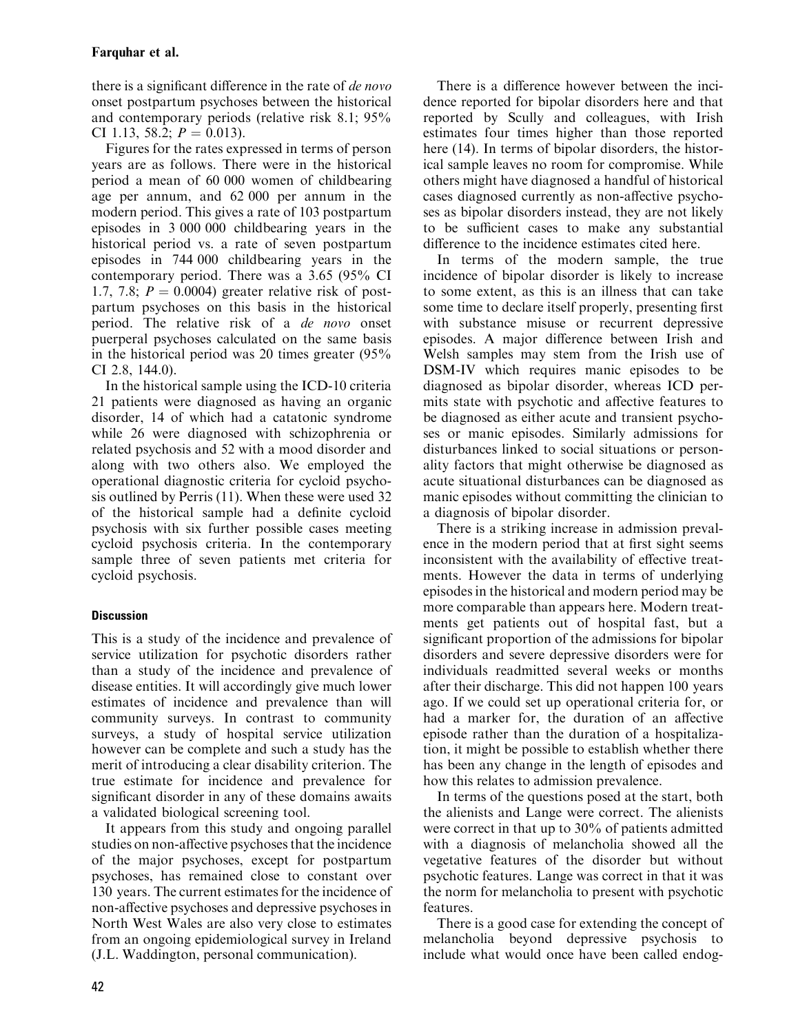there is a significant difference in the rate of de novo onset postpartum psychoses between the historical and contemporary periods (relative risk 8.1; 95% CI 1.13, 58.2;  $P = 0.013$ ).

Figures for the rates expressed in terms of person years are as follows. There were in the historical period a mean of 60 000 women of childbearing age per annum, and 62 000 per annum in the modern period. This gives a rate of 103 postpartum episodes in 3 000 000 childbearing years in the historical period vs. a rate of seven postpartum episodes in 744 000 childbearing years in the contemporary period. There was a 3.65 (95% CI 1.7, 7.8;  $P = 0.0004$ ) greater relative risk of postpartum psychoses on this basis in the historical period. The relative risk of a de novo onset puerperal psychoses calculated on the same basis in the historical period was 20 times greater (95% CI 2.8, 144.0).

In the historical sample using the ICD-10 criteria 21 patients were diagnosed as having an organic disorder, 14 of which had a catatonic syndrome while 26 were diagnosed with schizophrenia or related psychosis and 52 with a mood disorder and along with two others also. We employed the operational diagnostic criteria for cycloid psychosis outlined by Perris (11). When these were used 32 of the historical sample had a definite cycloid psychosis with six further possible cases meeting cycloid psychosis criteria. In the contemporary sample three of seven patients met criteria for cycloid psychosis.

# **Discussion**

This is a study of the incidence and prevalence of service utilization for psychotic disorders rather than a study of the incidence and prevalence of disease entities. It will accordingly give much lower estimates of incidence and prevalence than will community surveys. In contrast to community surveys, a study of hospital service utilization however can be complete and such a study has the merit of introducing a clear disability criterion. The true estimate for incidence and prevalence for significant disorder in any of these domains awaits a validated biological screening tool.

It appears from this study and ongoing parallel studies on non-affective psychoses that the incidence of the major psychoses, except for postpartum psychoses, has remained close to constant over 130 years. The current estimates for the incidence of non-affective psychoses and depressive psychoses in North West Wales are also very close to estimates from an ongoing epidemiological survey in Ireland (J.L. Waddington, personal communication).

There is a difference however between the incidence reported for bipolar disorders here and that reported by Scully and colleagues, with Irish estimates four times higher than those reported here (14). In terms of bipolar disorders, the historical sample leaves no room for compromise. While others might have diagnosed a handful of historical cases diagnosed currently as non-affective psychoses as bipolar disorders instead, they are not likely to be sufficient cases to make any substantial difference to the incidence estimates cited here.

In terms of the modern sample, the true incidence of bipolar disorder is likely to increase to some extent, as this is an illness that can take some time to declare itself properly, presenting first with substance misuse or recurrent depressive episodes. A major difference between Irish and Welsh samples may stem from the Irish use of DSM-IV which requires manic episodes to be diagnosed as bipolar disorder, whereas ICD permits state with psychotic and affective features to be diagnosed as either acute and transient psychoses or manic episodes. Similarly admissions for disturbances linked to social situations or personality factors that might otherwise be diagnosed as acute situational disturbances can be diagnosed as manic episodes without committing the clinician to a diagnosis of bipolar disorder.

There is a striking increase in admission prevalence in the modern period that at first sight seems inconsistent with the availability of effective treatments. However the data in terms of underlying episodes in the historical and modern period may be more comparable than appears here. Modern treatments get patients out of hospital fast, but a significant proportion of the admissions for bipolar disorders and severe depressive disorders were for individuals readmitted several weeks or months after their discharge. This did not happen 100 years ago. If we could set up operational criteria for, or had a marker for, the duration of an affective episode rather than the duration of a hospitalization, it might be possible to establish whether there has been any change in the length of episodes and how this relates to admission prevalence.

In terms of the questions posed at the start, both the alienists and Lange were correct. The alienists were correct in that up to 30% of patients admitted with a diagnosis of melancholia showed all the vegetative features of the disorder but without psychotic features. Lange was correct in that it was the norm for melancholia to present with psychotic features.

There is a good case for extending the concept of melancholia beyond depressive psychosis to include what would once have been called endog